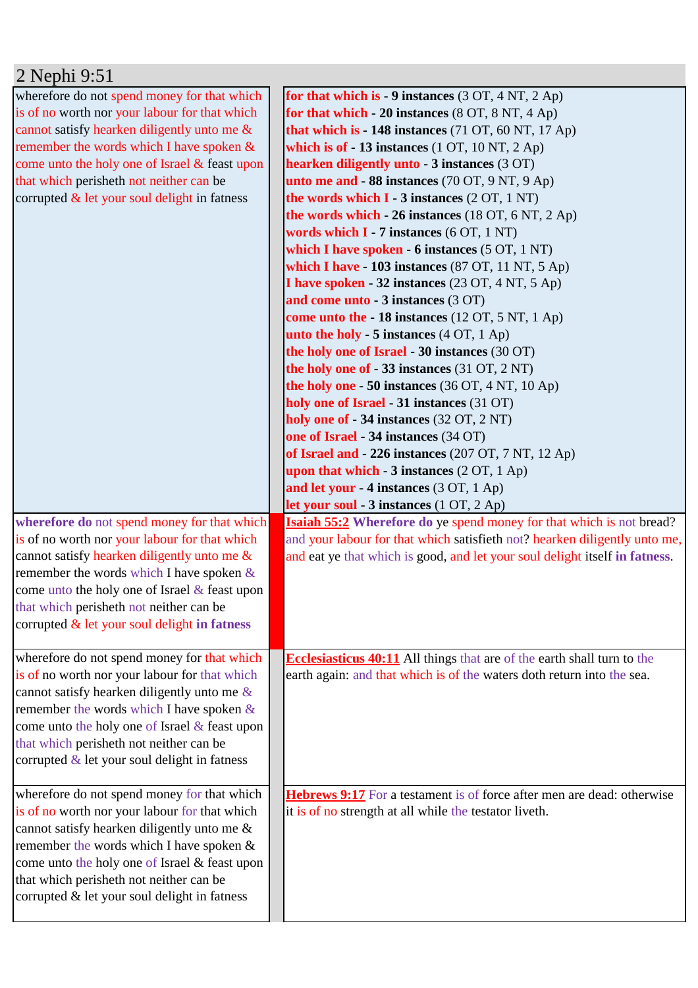| 2 Nephi 9:51                                     |                                                                             |
|--------------------------------------------------|-----------------------------------------------------------------------------|
| wherefore do not spend money for that which      | for that which is - 9 instances $(3 OT, 4 NT, 2 Ap)$                        |
| is of no worth nor your labour for that which    | for that which $-20$ instances (8 OT, 8 NT, 4 Ap)                           |
| cannot satisfy hearken diligently unto me &      | that which is - 148 instances (71 OT, 60 NT, 17 Ap)                         |
| remember the words which I have spoken &         | which is of $-13$ instances (1 OT, 10 NT, 2 Ap)                             |
| come unto the holy one of Israel & feast upon    | hearken diligently unto - 3 instances (3 OT)                                |
| that which perisheth not neither can be          | unto me and - 88 instances (70 OT, 9 NT, 9 Ap)                              |
| corrupted $\&$ let your soul delight in fatness  | the words which $I - 3$ instances $(2 OT, 1 NT)$                            |
|                                                  | the words which $-26$ instances (18 OT, 6 NT, 2 Ap)                         |
|                                                  | words which I - 7 instances (6 OT, 1 NT)                                    |
|                                                  | which I have spoken - 6 instances (5 OT, 1 NT)                              |
|                                                  | which I have - 103 instances $(87 \text{ OT}, 11 \text{ NT}, 5 \text{ Ap})$ |
|                                                  | I have spoken - 32 instances (23 OT, 4 NT, 5 Ap)                            |
|                                                  | and come unto - 3 instances (3 OT)                                          |
|                                                  | come unto the - 18 instances (12 OT, 5 NT, 1 Ap)                            |
|                                                  | unto the holy - 5 instances $(4 OT, 1 Ap)$                                  |
|                                                  | the holy one of Israel - 30 instances (30 OT)                               |
|                                                  | the holy one of $-33$ instances (31 OT, 2 NT)                               |
|                                                  | the holy one $-50$ instances (36 OT, 4 NT, 10 Ap)                           |
|                                                  | holy one of Israel - 31 instances (31 OT)                                   |
|                                                  | holy one of - 34 instances (32 OT, 2 NT)                                    |
|                                                  | one of Israel - 34 instances (34 OT)                                        |
|                                                  | of Israel and - 226 instances (207 OT, 7 NT, 12 Ap)                         |
|                                                  | upon that which $-3$ instances $(2 OT, 1 Ap)$                               |
|                                                  | and let your - 4 instances (3 OT, 1 Ap)                                     |
|                                                  | let your soul - 3 instances (1 OT, 2 Ap)                                    |
| wherefore do not spend money for that which      | <b>Isaiah 55:2</b> Wherefore do ye spend money for that which is not bread? |
| is of no worth nor your labour for that which    | and your labour for that which satisfieth not? hearken diligently unto me,  |
| cannot satisfy hearken diligently unto me &      | and eat ye that which is good, and let your soul delight itself in fatness. |
| remember the words which I have spoken $\&$      |                                                                             |
| come unto the holy one of Israel $\&$ feast upon |                                                                             |
| that which perisheth not neither can be          |                                                                             |
| corrupted $\&$ let your soul delight in fatness  |                                                                             |
| wherefore do not spend money for that which      | Ecclesiasticus 40:11 All things that are of the earth shall turn to the     |
| is of no worth nor your labour for that which    | earth again: and that which is of the waters doth return into the sea.      |
| cannot satisfy hearken diligently unto me $\&$   |                                                                             |
| remember the words which I have spoken $\&$      |                                                                             |
| come unto the holy one of Israel & feast upon    |                                                                             |
| that which perisheth not neither can be          |                                                                             |
| corrupted $\&$ let your soul delight in fatness  |                                                                             |
|                                                  |                                                                             |
| wherefore do not spend money for that which      | Hebrews 9:17 For a testament is of force after men are dead: otherwise      |
| is of no worth nor your labour for that which    | it is of no strength at all while the testator liveth.                      |
| cannot satisfy hearken diligently unto me &      |                                                                             |
| remember the words which I have spoken &         |                                                                             |
| come unto the holy one of Israel & feast upon    |                                                                             |
| that which perisheth not neither can be          |                                                                             |
| corrupted & let your soul delight in fatness     |                                                                             |
|                                                  |                                                                             |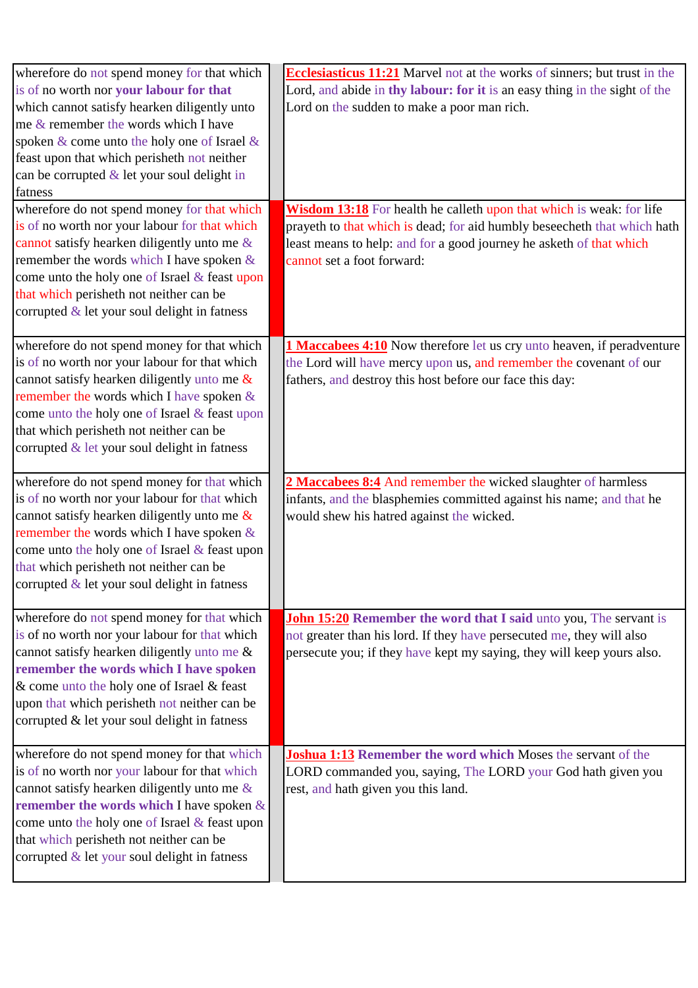| wherefore do not spend money for that which<br>is of no worth nor your labour for that<br>which cannot satisfy hearken diligently unto<br>me & remember the words which I have<br>spoken & come unto the holy one of Israel &<br>feast upon that which perisheth not neither<br>can be corrupted $&$ let your soul delight in                           | <b>Ecclesiasticus 11:21</b> Marvel not at the works of sinners; but trust in the<br>Lord, and abide in thy labour: for it is an easy thing in the sight of the<br>Lord on the sudden to make a poor man rich.                                         |
|---------------------------------------------------------------------------------------------------------------------------------------------------------------------------------------------------------------------------------------------------------------------------------------------------------------------------------------------------------|-------------------------------------------------------------------------------------------------------------------------------------------------------------------------------------------------------------------------------------------------------|
| fatness<br>wherefore do not spend money for that which<br>is of no worth nor your labour for that which<br>cannot satisfy hearken diligently unto me $\&$<br>remember the words which I have spoken $\&$<br>come unto the holy one of Israel & feast upon<br>that which perisheth not neither can be<br>corrupted $\&$ let your soul delight in fatness | Wisdom 13:18 For health he calleth upon that which is weak: for life<br>prayeth to that which is dead; for aid humbly beseecheth that which hath<br>least means to help: and for a good journey he asketh of that which<br>cannot set a foot forward: |
| wherefore do not spend money for that which<br>is of no worth nor your labour for that which<br>cannot satisfy hearken diligently unto me $\&$<br>remember the words which I have spoken $\&$<br>come unto the holy one of Israel & feast upon<br>that which perisheth not neither can be<br>corrupted & let your soul delight in fatness               | <b>1 Maccabees 4:10</b> Now therefore let us cry unto heaven, if peradventure<br>the Lord will have mercy upon us, and remember the covenant of our<br>fathers, and destroy this host before our face this day:                                       |
| wherefore do not spend money for that which<br>is of no worth nor your labour for that which<br>cannot satisfy hearken diligently unto me $\&$<br>remember the words which I have spoken $\&$<br>come unto the holy one of Israel & feast upon<br>that which perisheth not neither can be<br>corrupted $\&$ let your soul delight in fatness            | 2 Maccabees 8:4 And remember the wicked slaughter of harmless<br>infants, and the blasphemies committed against his name; and that he<br>would shew his hatred against the wicked.                                                                    |
| wherefore do not spend money for that which<br>is of no worth nor your labour for that which<br>cannot satisfy hearken diligently unto me &<br>remember the words which I have spoken<br>& come unto the holy one of Israel & feast<br>upon that which perisheth not neither can be<br>corrupted & let your soul delight in fatness                     | <b>John 15:20 Remember the word that I said unto you, The servant is</b><br>not greater than his lord. If they have persecuted me, they will also<br>persecute you; if they have kept my saying, they will keep yours also.                           |
| wherefore do not spend money for that which<br>is of no worth nor your labour for that which<br>cannot satisfy hearken diligently unto me $\&$<br>remember the words which I have spoken $\&$<br>come unto the holy one of Israel & feast upon<br>that which perisheth not neither can be<br>corrupted & let your soul delight in fatness               | Joshua 1:13 Remember the word which Moses the servant of the<br>LORD commanded you, saying, The LORD your God hath given you<br>rest, and hath given you this land.                                                                                   |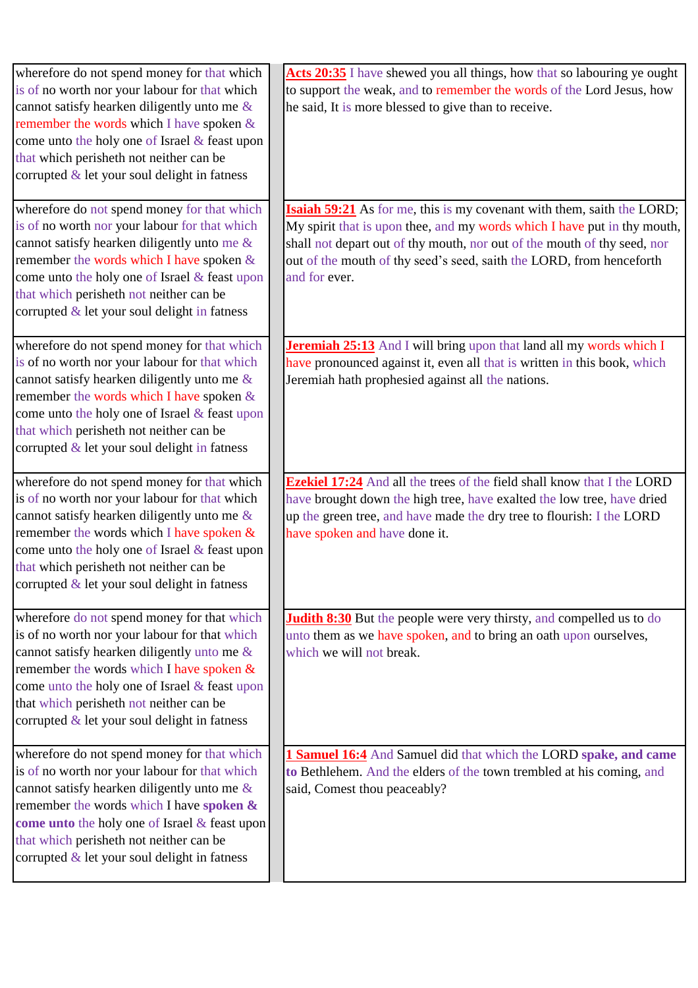| wherefore do not spend money for that which<br>is of no worth nor your labour for that which<br>cannot satisfy hearken diligently unto me &<br>remember the words which I have spoken $\&$<br>come unto the holy one of Israel & feast upon<br>that which perisheth not neither can be<br>corrupted $\&$ let your soul delight in fatness           | Acts 20:35 I have shewed you all things, how that so labouring ye ought<br>to support the weak, and to remember the words of the Lord Jesus, how<br>he said, It is more blessed to give than to receive.                                                                                                                       |
|-----------------------------------------------------------------------------------------------------------------------------------------------------------------------------------------------------------------------------------------------------------------------------------------------------------------------------------------------------|--------------------------------------------------------------------------------------------------------------------------------------------------------------------------------------------------------------------------------------------------------------------------------------------------------------------------------|
| wherefore do not spend money for that which<br>is of no worth nor your labour for that which<br>cannot satisfy hearken diligently unto me &<br>remember the words which I have spoken $\&$<br>come unto the holy one of Israel & feast upon<br>that which perisheth not neither can be<br>corrupted $&$ let your soul delight in fatness            | <b>Isaiah 59:21</b> As for me, this is my covenant with them, saith the LORD;<br>My spirit that is upon thee, and my words which I have put in thy mouth,<br>shall not depart out of thy mouth, nor out of the mouth of thy seed, nor<br>out of the mouth of thy seed's seed, saith the LORD, from henceforth<br>and for ever. |
| wherefore do not spend money for that which<br>is of no worth nor your labour for that which<br>cannot satisfy hearken diligently unto me $\&$<br>remember the words which I have spoken &<br>come unto the holy one of Israel & feast upon<br>that which perisheth not neither can be<br>corrupted $&$ let your soul delight in fatness            | <b>Jeremiah 25:13</b> And I will bring upon that land all my words which I<br>have pronounced against it, even all that is written in this book, which<br>Jeremiah hath prophesied against all the nations.                                                                                                                    |
| wherefore do not spend money for that which<br>is of no worth nor your labour for that which<br>cannot satisfy hearken diligently unto me $\&$<br>remember the words which I have spoken $\&$<br>come unto the holy one of Israel & feast upon<br>that which perisheth not neither can be<br>corrupted & let your soul delight in fatness           | <b>Ezekiel 17:24</b> And all the trees of the field shall know that I the LORD<br>have brought down the high tree, have exalted the low tree, have dried<br>up the green tree, and have made the dry tree to flourish: I the LORD<br>have spoken and have done it.                                                             |
| wherefore do not spend money for that which<br>is of no worth nor your labour for that which<br>cannot satisfy hearken diligently unto me &<br>remember the words which I have spoken $\&$<br>come unto the holy one of Israel & feast upon<br>that which perisheth not neither can be<br>corrupted $\&$ let your soul delight in fatness           | <b>Judith 8:30</b> But the people were very thirsty, and compelled us to do<br>unto them as we have spoken, and to bring an oath upon ourselves,<br>which we will not break.                                                                                                                                                   |
| wherefore do not spend money for that which<br>is of no worth nor your labour for that which<br>cannot satisfy hearken diligently unto me $\&$<br>remember the words which I have spoken &<br><b>come unto</b> the holy one of Israel $\&$ feast upon<br>that which perisheth not neither can be<br>corrupted $\&$ let your soul delight in fatness | 1 Samuel 16:4 And Samuel did that which the LORD spake, and came<br>to Bethlehem. And the elders of the town trembled at his coming, and<br>said, Comest thou peaceably?                                                                                                                                                       |